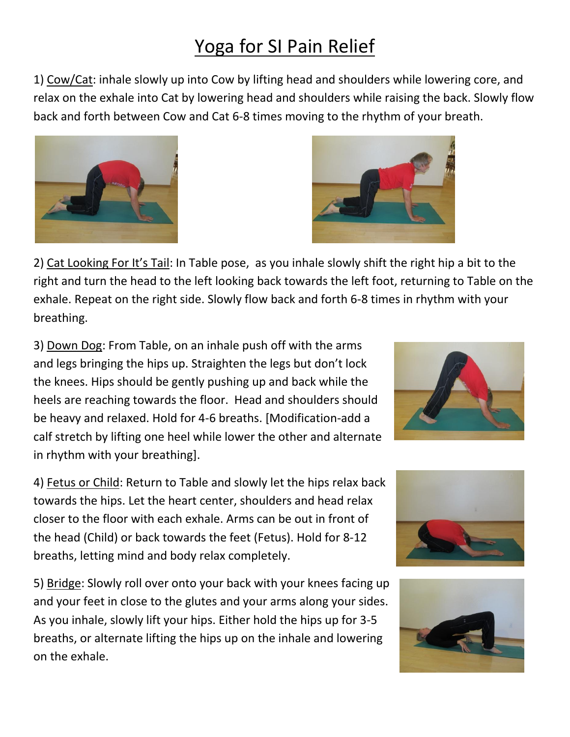## Yoga for SI Pain Relief

1) Cow/Cat: inhale slowly up into Cow by lifting head and shoulders while lowering core, and relax on the exhale into Cat by lowering head and shoulders while raising the back. Slowly flow back and forth between Cow and Cat 6-8 times moving to the rhythm of your breath.



3) Down Dog: From Table, on an inhale push off with the arms and legs bringing the hips up. Straighten the legs but don't lock the knees. Hips should be gently pushing up and back while the heels are reaching towards the floor. Head and shoulders should be heavy and relaxed. Hold for 4-6 breaths. [Modification-add a calf stretch by lifting one heel while lower the other and alternate in rhythm with your breathing].

4) Fetus or Child: Return to Table and slowly let the hips relax back towards the hips. Let the heart center, shoulders and head relax closer to the floor with each exhale. Arms can be out in front of the head (Child) or back towards the feet (Fetus). Hold for 8-12 breaths, letting mind and body relax completely.

5) Bridge: Slowly roll over onto your back with your knees facing up and your feet in close to the glutes and your arms along your sides. As you inhale, slowly lift your hips. Either hold the hips up for 3-5 breaths, or alternate lifting the hips up on the inhale and lowering on the exhale.